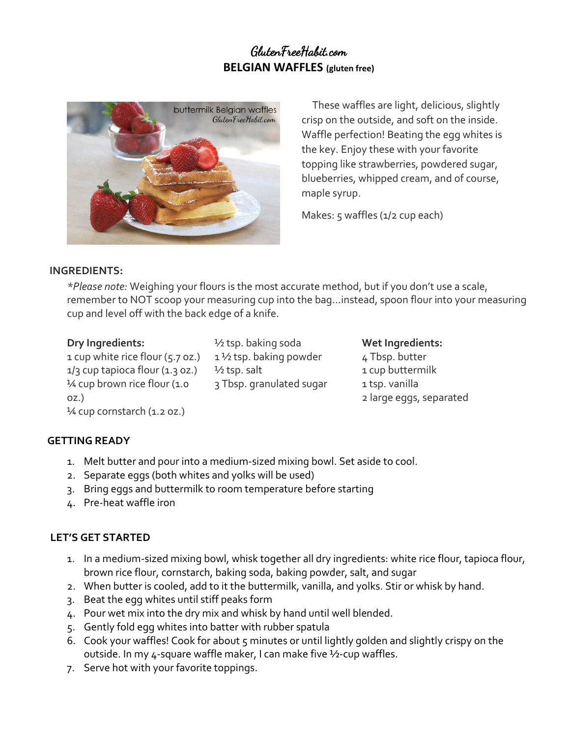# GlutenFreeHabit.com **BELGIAN WAFFLES (gluten free)**



These waffles are light, delicious, slightly crisp on the outside, and soft on the inside. Waffle perfection! Beating the egg whites is the key. Enjoy these with your favorite topping like strawberries, powdered sugar, blueberries, whipped cream, and of course, maple syrup.

Makes: 5 waffles (1/2 cup each)

## **INGREDIENTS:**

*\*Please note:* Weighing your flours is the most accurate method, but if you don't use a scale, remember to NOT scoop your measuring cup into the bag…instead, spoon flour into your measuring cup and level off with the back edge of a knife.

## **Dry Ingredients:**

1 cup white rice flour (5.7 oz.)  $1/3$  cup tapioca flour  $(1.3$  oz.) 1⁄4 cup brown rice flour (1.0 oz.) 1/4 cup cornstarch (1.2 oz.)

½ tsp. baking soda 1 ½ tsp. baking powder  $\frac{1}{2}$  tsp. salt 3 Tbsp. granulated sugar **Wet Ingredients:** 4 Tbsp. butter 1 cup buttermilk 1 tsp. vanilla 2 large eggs, separated

## **GETTING READY**

- 1. Melt butter and pour into a medium-sized mixing bowl. Set aside to cool.
- 2. Separate eggs (both whites and yolks will be used)
- 3. Bring eggs and buttermilk to room temperature before starting
- 4. Pre-heat waffle iron

## **LET'S GET STARTED**

- 1. In a medium-sized mixing bowl, whisk together all dry ingredients: white rice flour, tapioca flour, brown rice flour, cornstarch, baking soda, baking powder, salt, and sugar
- 2. When butter is cooled, add to it the buttermilk, vanilla, and yolks. Stir or whisk by hand.
- 3. Beat the egg whites until stiff peaks form
- 4. Pour wet mix into the dry mix and whisk by hand until well blended.
- 5. Gently fold egg whites into batter with rubber spatula
- 6. Cook your waffles! Cook for about 5 minutes or until lightly golden and slightly crispy on the outside. In my 4-square waffle maker, I can make five ½-cup waffles.
- 7. Serve hot with your favorite toppings.